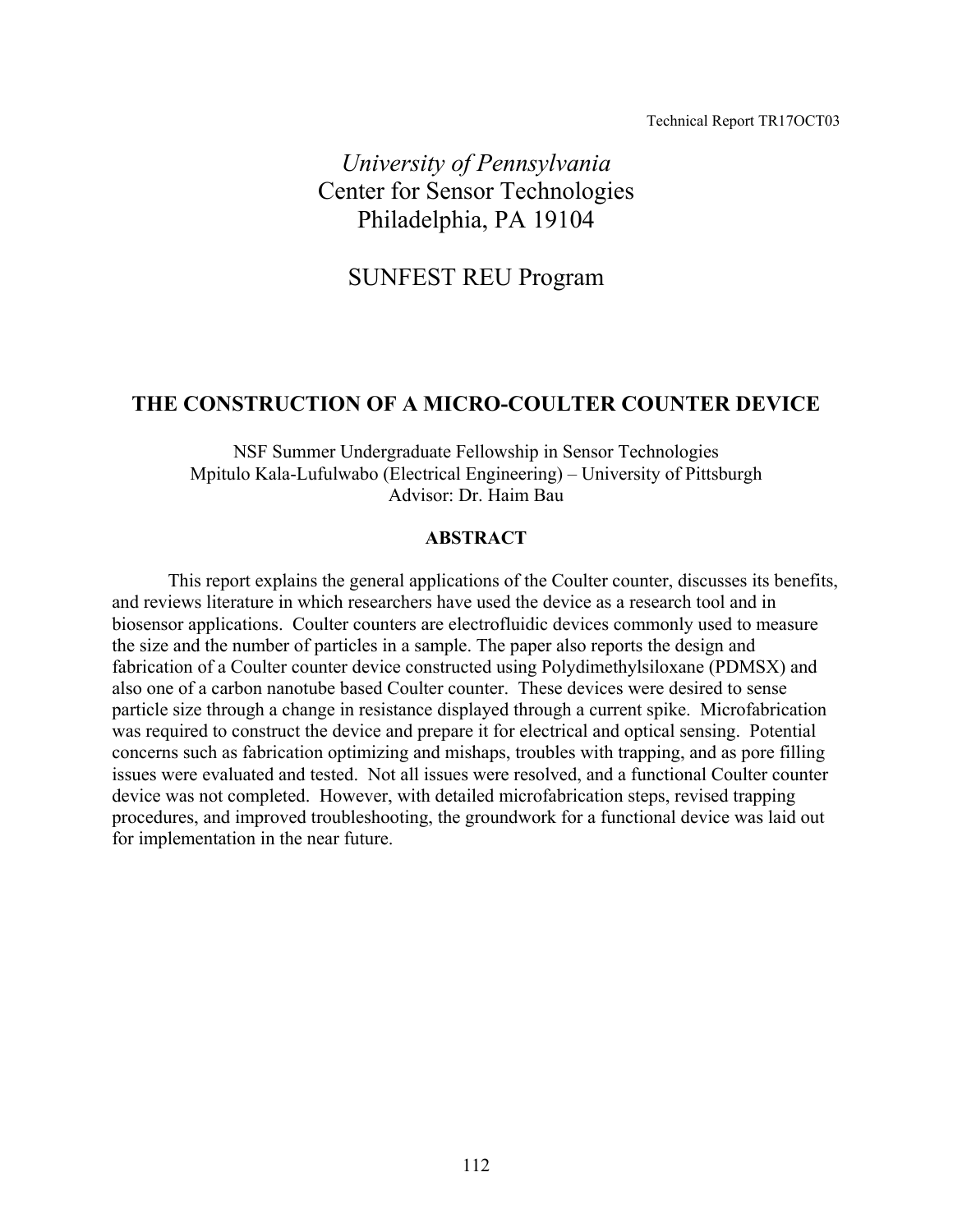#### Technical Report TR17OCT03

*University of Pennsylvania*  Center for Sensor Technologies Philadelphia, PA 19104

# SUNFEST REU Program

## **THE CONSTRUCTION OF A MICRO-COULTER COUNTER DEVICE**

NSF Summer Undergraduate Fellowship in Sensor Technologies Mpitulo Kala-Lufulwabo (Electrical Engineering) – University of Pittsburgh Advisor: Dr. Haim Bau

#### **ABSTRACT**

This report explains the general applications of the Coulter counter, discusses its benefits, and reviews literature in which researchers have used the device as a research tool and in biosensor applications. Coulter counters are electrofluidic devices commonly used to measure the size and the number of particles in a sample. The paper also reports the design and fabrication of a Coulter counter device constructed using Polydimethylsiloxane (PDMSX) and also one of a carbon nanotube based Coulter counter. These devices were desired to sense particle size through a change in resistance displayed through a current spike. Microfabrication was required to construct the device and prepare it for electrical and optical sensing. Potential concerns such as fabrication optimizing and mishaps, troubles with trapping, and as pore filling issues were evaluated and tested. Not all issues were resolved, and a functional Coulter counter device was not completed. However, with detailed microfabrication steps, revised trapping procedures, and improved troubleshooting, the groundwork for a functional device was laid out for implementation in the near future.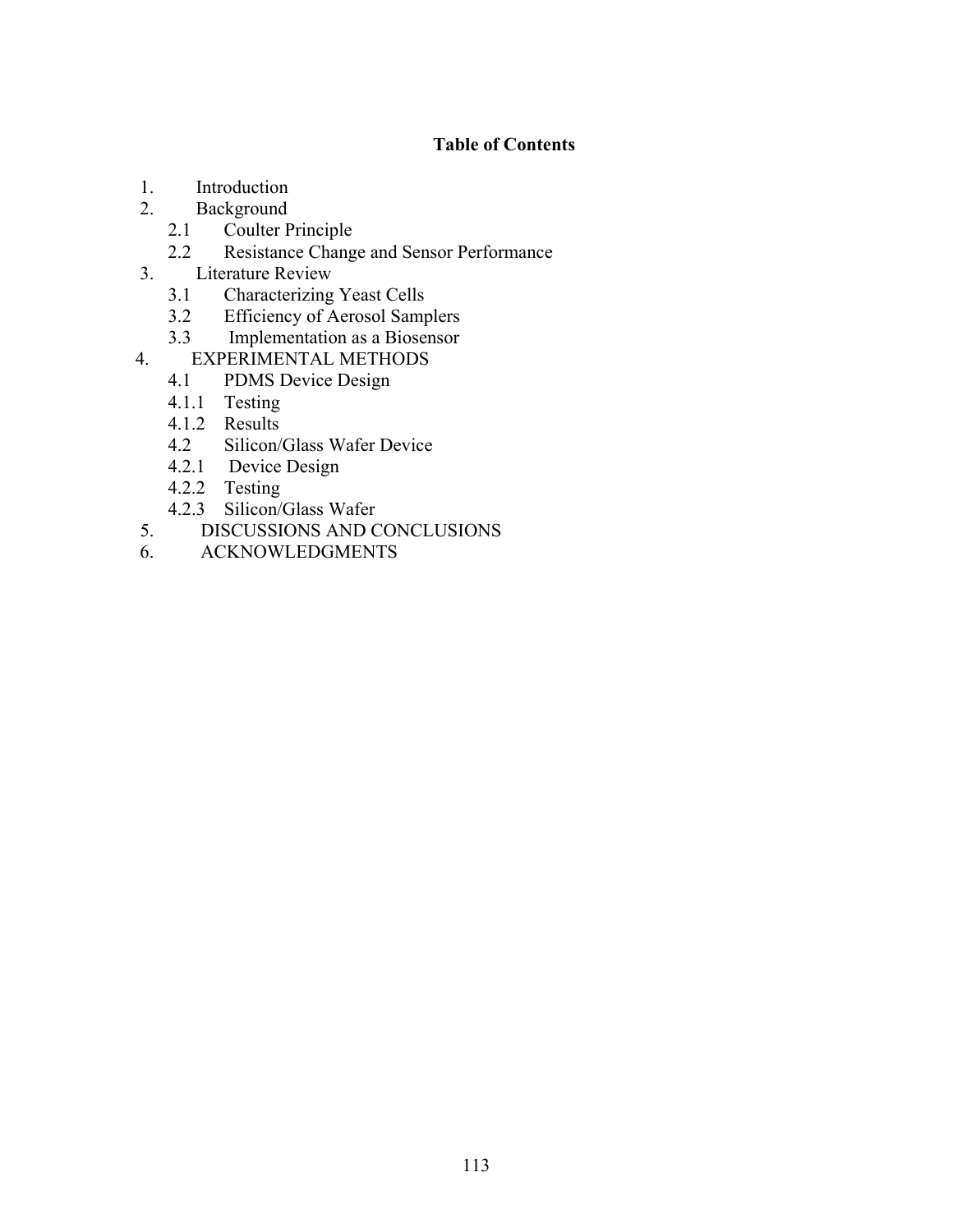## **Table of Contents**

- 1. Introduction<br>2. Background
	- **Background** 
		- 2.1 Coulter Principle
		- 2.2 Resistance Change and Sensor Performance
- 3. Literature Review
	- 3.1 Characterizing Yeast Cells
	- 3.2 Efficiency of Aerosol Samplers
	- 3.3 Implementation as a Biosensor
- 4. EXPERIMENTAL METHODS
	- 4.1 PDMS Device Design
	- 4.1.1 Testing
	- 4.1.2 Results
	- 4.2 Silicon/Glass Wafer Device
	- 4.2.1 Device Design
	- 4.2.2 Testing
	- 4.2.3 Silicon/Glass Wafer
- 5. DISCUSSIONS AND CONCLUSIONS
- 6. ACKNOWLEDGMENTS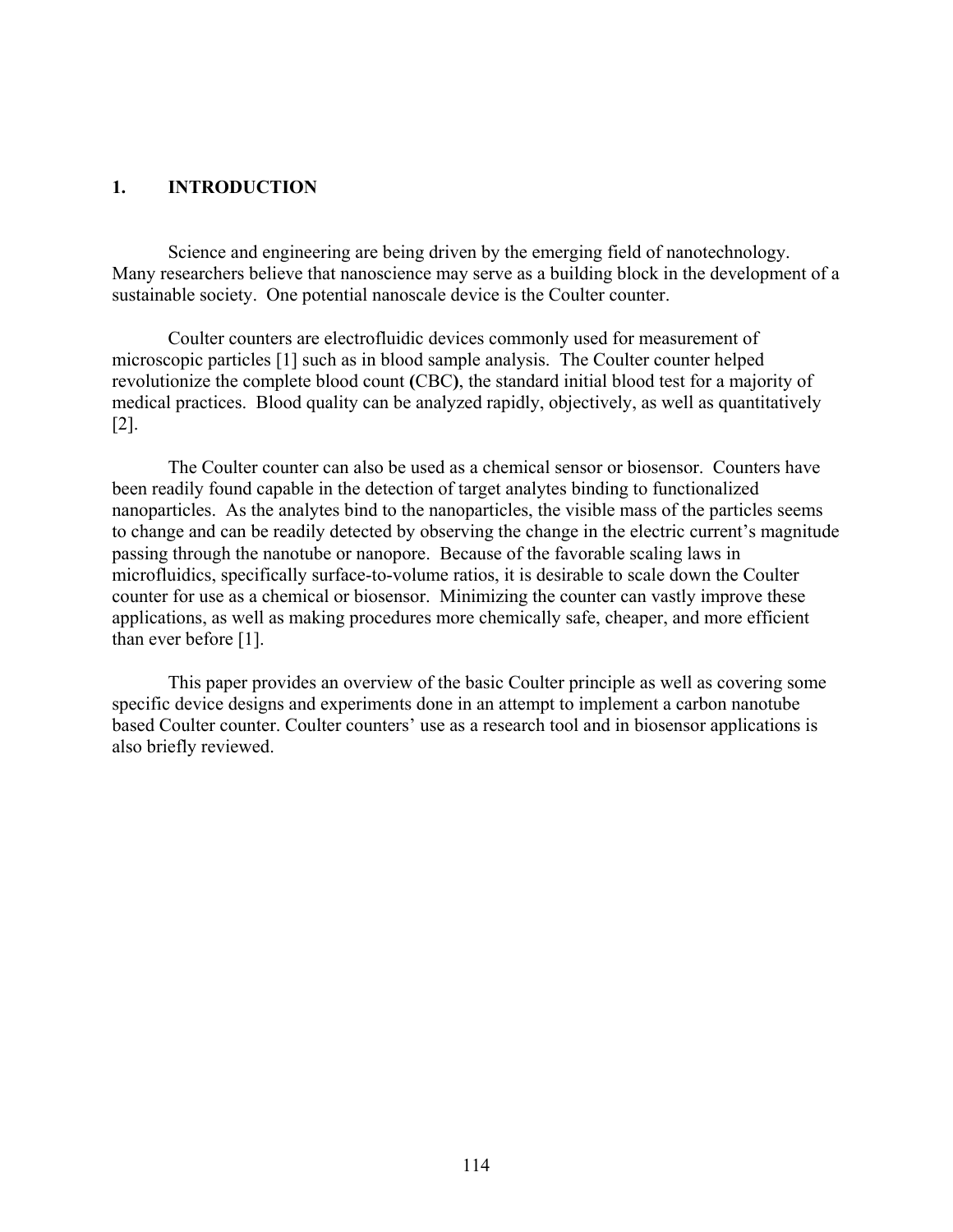### **1. INTRODUCTION**

Science and engineering are being driven by the emerging field of nanotechnology. Many researchers believe that nanoscience may serve as a building block in the development of a sustainable society. One potential nanoscale device is the Coulter counter.

Coulter counters are electrofluidic devices commonly used for measurement of microscopic particles [1] such as in blood sample analysis. The Coulter counter helped revolutionize the complete blood count **(**CBC**)**, the standard initial blood test for a majority of medical practices. Blood quality can be analyzed rapidly, objectively, as well as quantitatively [2].

 The Coulter counter can also be used as a chemical sensor or biosensor. Counters have been readily found capable in the detection of target analytes binding to functionalized nanoparticles. As the analytes bind to the nanoparticles, the visible mass of the particles seems to change and can be readily detected by observing the change in the electric current's magnitude passing through the nanotube or nanopore. Because of the favorable scaling laws in microfluidics, specifically surface-to-volume ratios, it is desirable to scale down the Coulter counter for use as a chemical or biosensor. Minimizing the counter can vastly improve these applications, as well as making procedures more chemically safe, cheaper, and more efficient than ever before [1].

This paper provides an overview of the basic Coulter principle as well as covering some specific device designs and experiments done in an attempt to implement a carbon nanotube based Coulter counter. Coulter counters' use as a research tool and in biosensor applications is also briefly reviewed.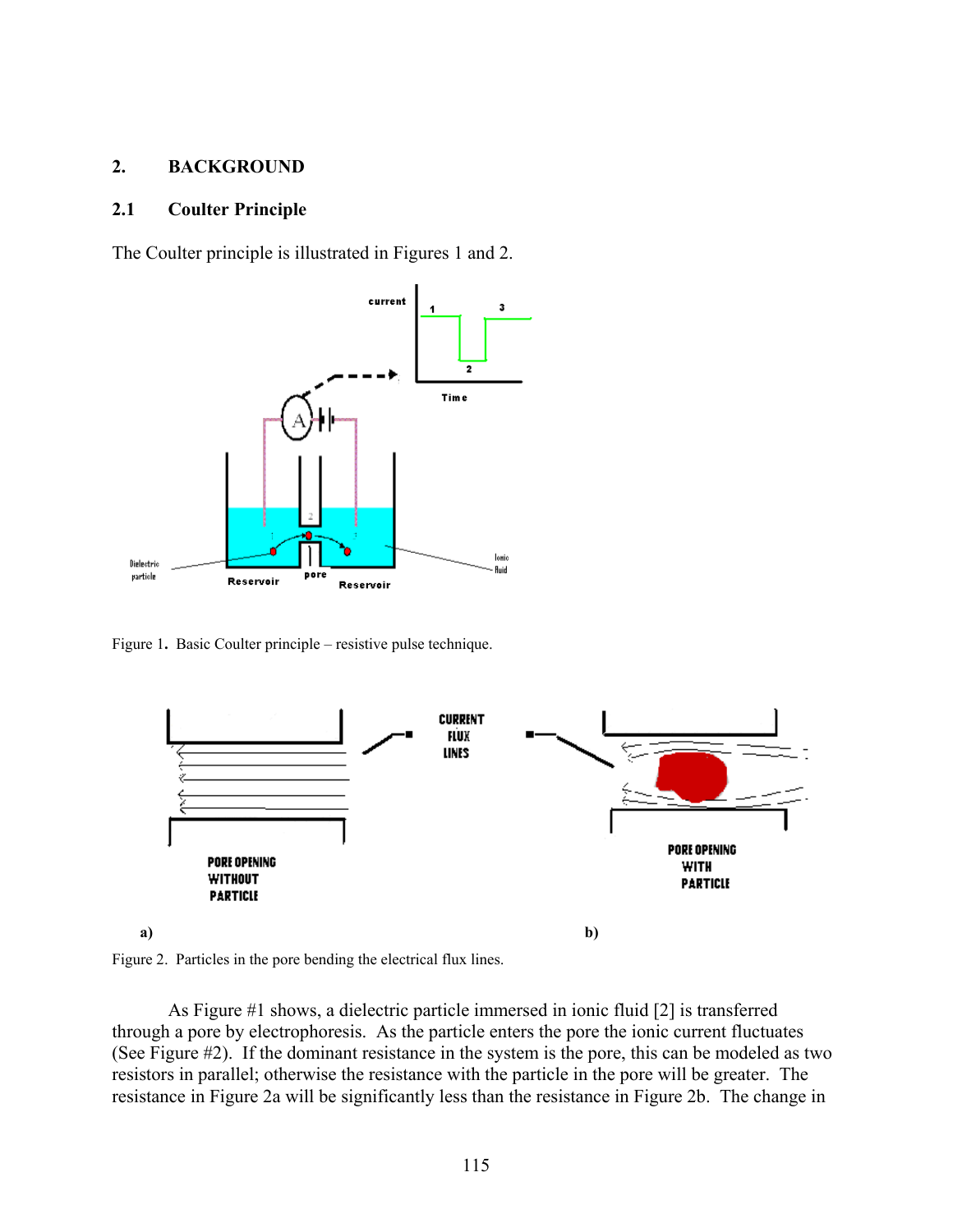### **2. BACKGROUND**

#### **2.1 Coulter Principle**

The Coulter principle is illustrated in Figures 1 and 2.



Figure 1**.** Basic Coulter principle – resistive pulse technique.



Figure 2. Particles in the pore bending the electrical flux lines.

As Figure #1 shows, a dielectric particle immersed in ionic fluid [2] is transferred through a pore by electrophoresis. As the particle enters the pore the ionic current fluctuates (See Figure #2). If the dominant resistance in the system is the pore, this can be modeled as two resistors in parallel; otherwise the resistance with the particle in the pore will be greater. The resistance in Figure 2a will be significantly less than the resistance in Figure 2b. The change in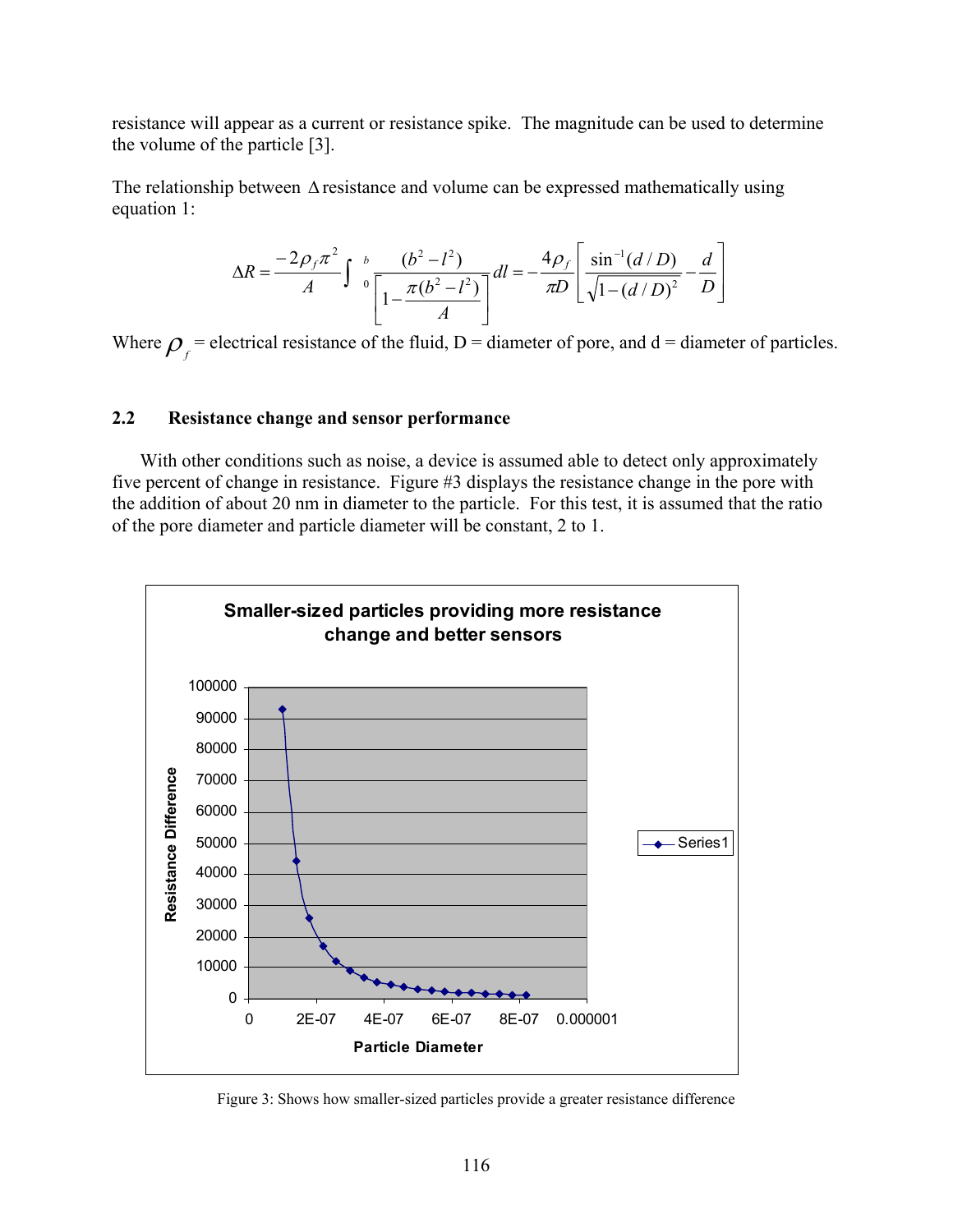resistance will appear as a current or resistance spike. The magnitude can be used to determine the volume of the particle [3].

The relationship between ∆ resistance and volume can be expressed mathematically using equation 1:

$$
\Delta R = \frac{-2\rho_f \pi^2}{A} \int_0^b \frac{(b^2 - l^2)}{\left[1 - \frac{\pi(b^2 - l^2)}{A}\right]} dl = -\frac{4\rho_f}{\pi D} \left[ \frac{\sin^{-1}(d/D)}{\sqrt{1 - (d/D)^2}} - \frac{d}{D} \right]
$$

Where  $\rho_f$  = electrical resistance of the fluid, D = diameter of pore, and d = diameter of particles.

## **2.2 Resistance change and sensor performance**

With other conditions such as noise, a device is assumed able to detect only approximately five percent of change in resistance. Figure #3 displays the resistance change in the pore with the addition of about 20 nm in diameter to the particle. For this test, it is assumed that the ratio of the pore diameter and particle diameter will be constant, 2 to 1.



Figure 3: Shows how smaller-sized particles provide a greater resistance difference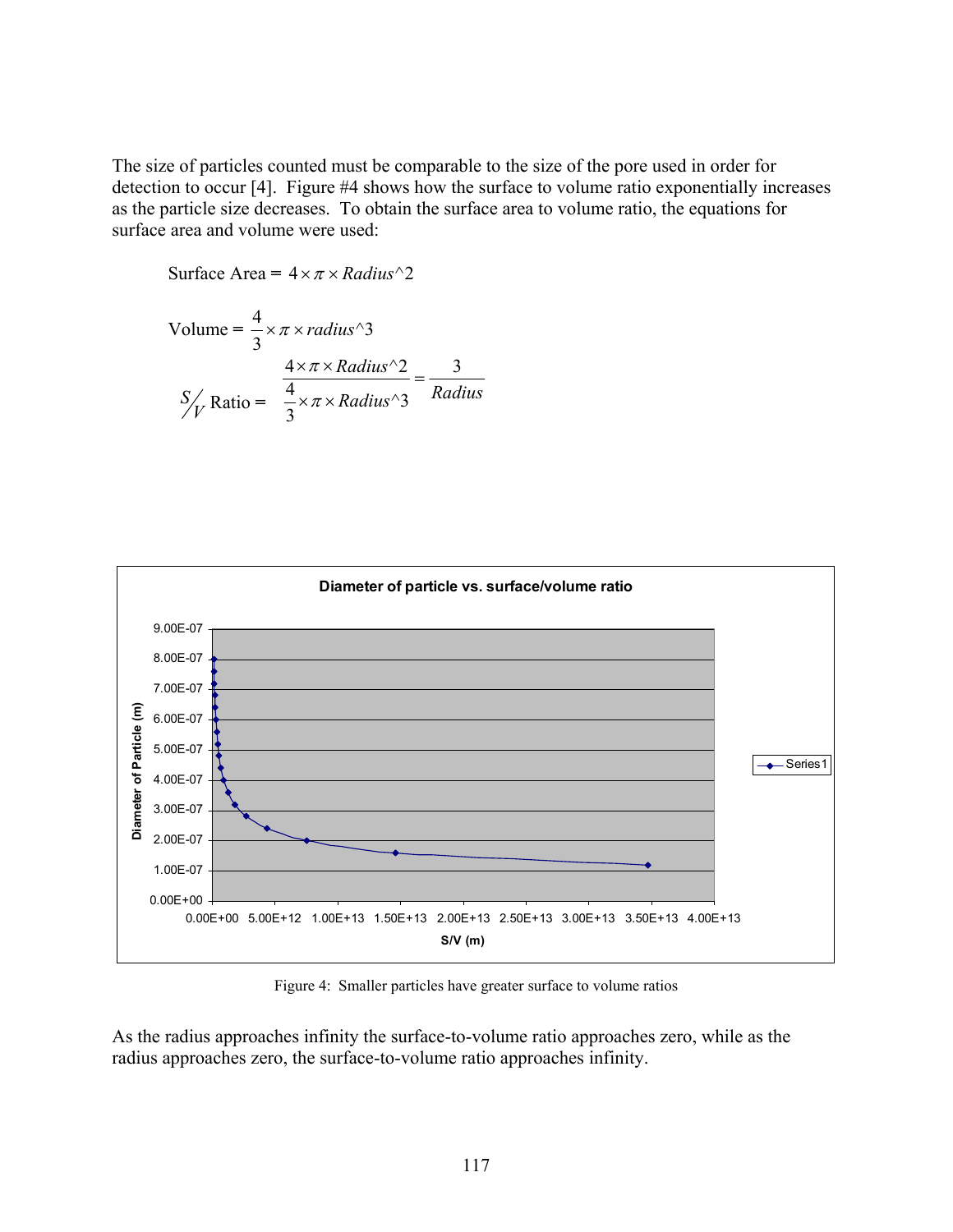The size of particles counted must be comparable to the size of the pore used in order for detection to occur [4]. Figure #4 shows how the surface to volume ratio exponentially increases as the particle size decreases. To obtain the surface area to volume ratio, the equations for surface area and volume were used:

Surface Area = 
$$
4 \times \pi \times Radius^2
$$

Volume = 
$$
\frac{4}{3} \times \pi \times radius^3
$$
  

$$
\frac{4 \times \pi \times Radius^2}{\frac{4}{3} \times \pi \times Radius^3} = \frac{3}{Radius}
$$



Figure 4: Smaller particles have greater surface to volume ratios

As the radius approaches infinity the surface-to-volume ratio approaches zero, while as the radius approaches zero, the surface-to-volume ratio approaches infinity.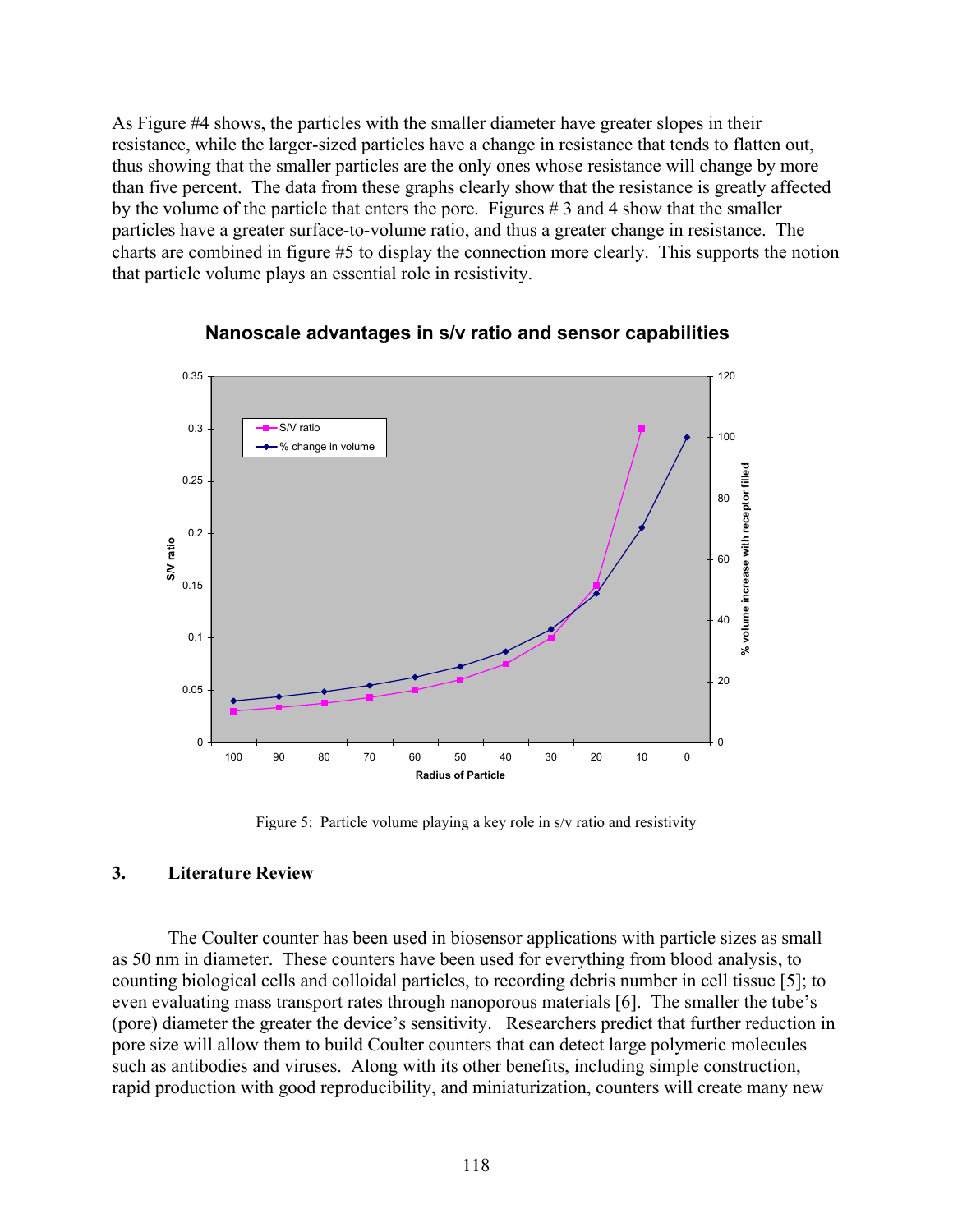As Figure #4 shows, the particles with the smaller diameter have greater slopes in their resistance, while the larger-sized particles have a change in resistance that tends to flatten out, thus showing that the smaller particles are the only ones whose resistance will change by more than five percent. The data from these graphs clearly show that the resistance is greatly affected by the volume of the particle that enters the pore. Figures # 3 and 4 show that the smaller particles have a greater surface-to-volume ratio, and thus a greater change in resistance. The charts are combined in figure #5 to display the connection more clearly. This supports the notion that particle volume plays an essential role in resistivity.



## **Nanoscale advantages in s/v ratio and sensor capabilities**

Figure 5: Particle volume playing a key role in s/v ratio and resistivity

## **3. Literature Review**

The Coulter counter has been used in biosensor applications with particle sizes as small as 50 nm in diameter. These counters have been used for everything from blood analysis, to counting biological cells and colloidal particles, to recording debris number in cell tissue [5]; to even evaluating mass transport rates through nanoporous materials [6]. The smaller the tube's (pore) diameter the greater the device's sensitivity. Researchers predict that further reduction in pore size will allow them to build Coulter counters that can detect large polymeric molecules such as antibodies and viruses. Along with its other benefits, including simple construction, rapid production with good reproducibility, and miniaturization, counters will create many new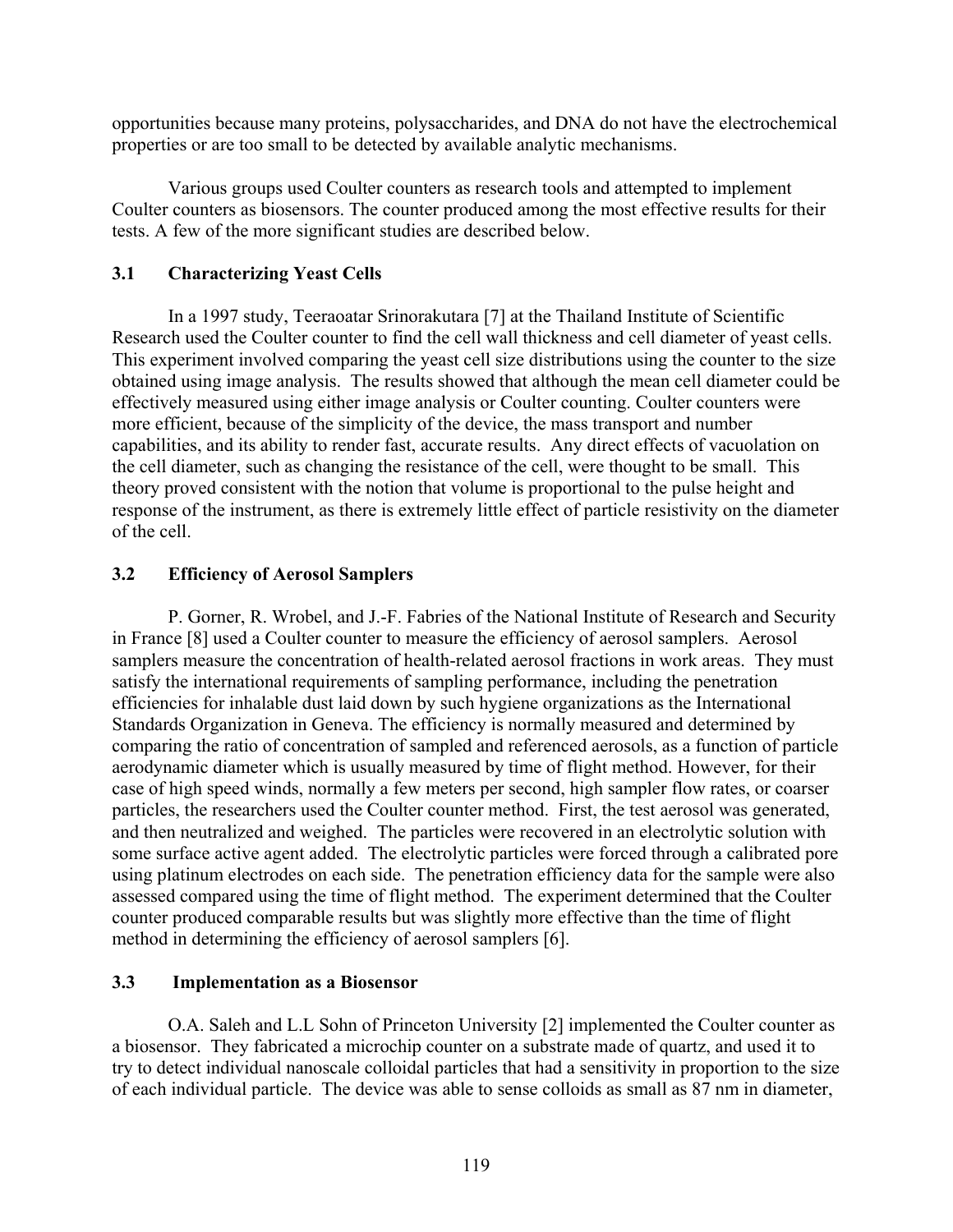opportunities because many proteins, polysaccharides, and DNA do not have the electrochemical properties or are too small to be detected by available analytic mechanisms.

Various groups used Coulter counters as research tools and attempted to implement Coulter counters as biosensors. The counter produced among the most effective results for their tests. A few of the more significant studies are described below.

## **3.1 Characterizing Yeast Cells**

In a 1997 study, Teeraoatar Srinorakutara [7] at the Thailand Institute of Scientific Research used the Coulter counter to find the cell wall thickness and cell diameter of yeast cells. This experiment involved comparing the yeast cell size distributions using the counter to the size obtained using image analysis. The results showed that although the mean cell diameter could be effectively measured using either image analysis or Coulter counting. Coulter counters were more efficient, because of the simplicity of the device, the mass transport and number capabilities, and its ability to render fast, accurate results. Any direct effects of vacuolation on the cell diameter, such as changing the resistance of the cell, were thought to be small. This theory proved consistent with the notion that volume is proportional to the pulse height and response of the instrument, as there is extremely little effect of particle resistivity on the diameter of the cell.

## **3.2 Efficiency of Aerosol Samplers**

 P. Gorner, R. Wrobel, and J.-F. Fabries of the National Institute of Research and Security in France [8] used a Coulter counter to measure the efficiency of aerosol samplers. Aerosol samplers measure the concentration of health-related aerosol fractions in work areas. They must satisfy the international requirements of sampling performance, including the penetration efficiencies for inhalable dust laid down by such hygiene organizations as the International Standards Organization in Geneva. The efficiency is normally measured and determined by comparing the ratio of concentration of sampled and referenced aerosols, as a function of particle aerodynamic diameter which is usually measured by time of flight method. However, for their case of high speed winds, normally a few meters per second, high sampler flow rates, or coarser particles, the researchers used the Coulter counter method. First, the test aerosol was generated, and then neutralized and weighed. The particles were recovered in an electrolytic solution with some surface active agent added. The electrolytic particles were forced through a calibrated pore using platinum electrodes on each side. The penetration efficiency data for the sample were also assessed compared using the time of flight method. The experiment determined that the Coulter counter produced comparable results but was slightly more effective than the time of flight method in determining the efficiency of aerosol samplers [6].

## **3.3 Implementation as a Biosensor**

O.A. Saleh and L.L Sohn of Princeton University [2] implemented the Coulter counter as a biosensor. They fabricated a microchip counter on a substrate made of quartz, and used it to try to detect individual nanoscale colloidal particles that had a sensitivity in proportion to the size of each individual particle. The device was able to sense colloids as small as 87 nm in diameter,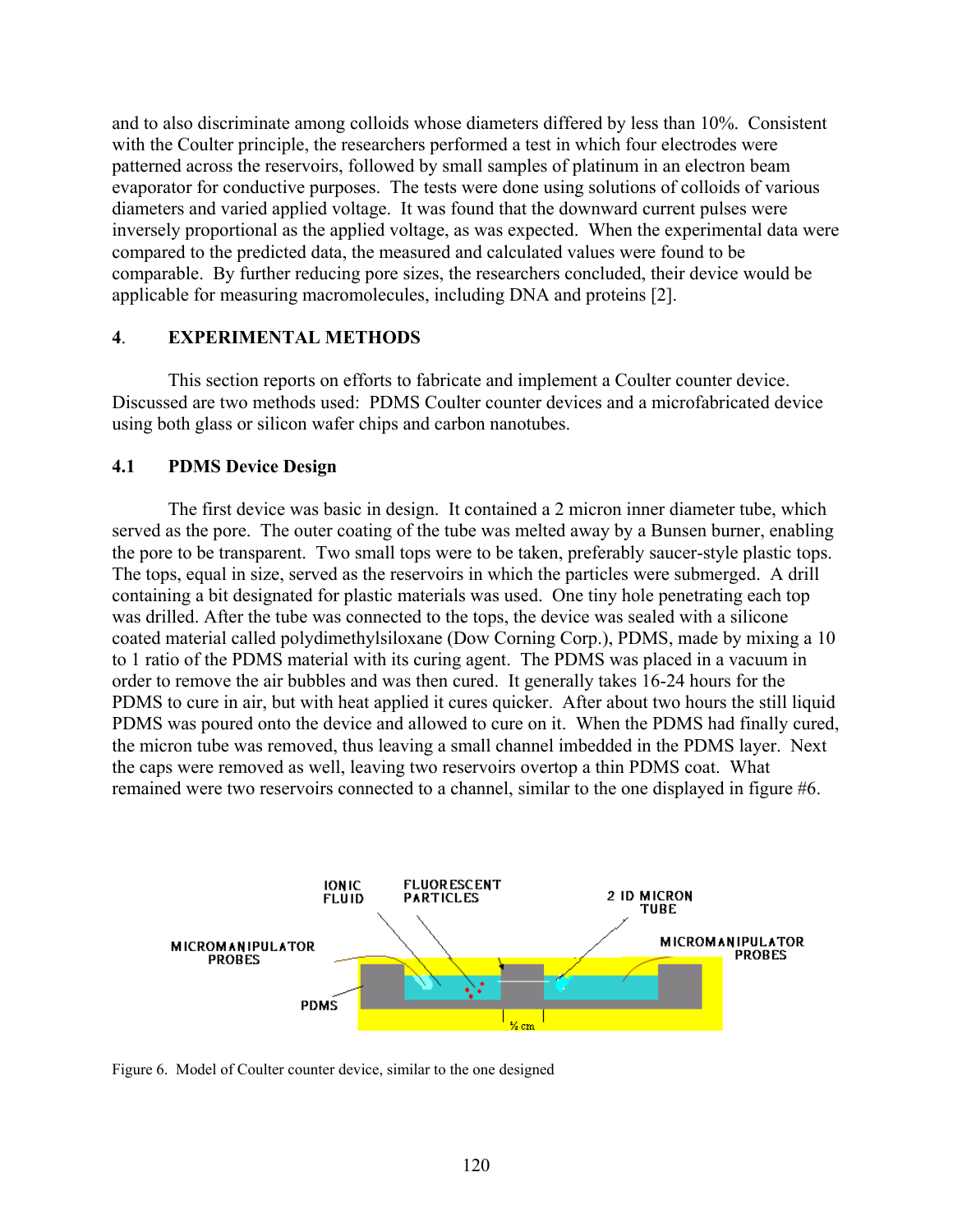and to also discriminate among colloids whose diameters differed by less than 10%. Consistent with the Coulter principle, the researchers performed a test in which four electrodes were patterned across the reservoirs, followed by small samples of platinum in an electron beam evaporator for conductive purposes. The tests were done using solutions of colloids of various diameters and varied applied voltage. It was found that the downward current pulses were inversely proportional as the applied voltage, as was expected. When the experimental data were compared to the predicted data, the measured and calculated values were found to be comparable. By further reducing pore sizes, the researchers concluded, their device would be applicable for measuring macromolecules, including DNA and proteins [2].

#### **4**. **EXPERIMENTAL METHODS**

This section reports on efforts to fabricate and implement a Coulter counter device. Discussed are two methods used: PDMS Coulter counter devices and a microfabricated device using both glass or silicon wafer chips and carbon nanotubes.

#### **4.1 PDMS Device Design**

The first device was basic in design. It contained a 2 micron inner diameter tube, which served as the pore. The outer coating of the tube was melted away by a Bunsen burner, enabling the pore to be transparent. Two small tops were to be taken, preferably saucer-style plastic tops. The tops, equal in size, served as the reservoirs in which the particles were submerged. A drill containing a bit designated for plastic materials was used. One tiny hole penetrating each top was drilled. After the tube was connected to the tops, the device was sealed with a silicone coated material called polydimethylsiloxane (Dow Corning Corp.), PDMS, made by mixing a 10 to 1 ratio of the PDMS material with its curing agent. The PDMS was placed in a vacuum in order to remove the air bubbles and was then cured. It generally takes 16-24 hours for the PDMS to cure in air, but with heat applied it cures quicker. After about two hours the still liquid PDMS was poured onto the device and allowed to cure on it. When the PDMS had finally cured, the micron tube was removed, thus leaving a small channel imbedded in the PDMS layer. Next the caps were removed as well, leaving two reservoirs overtop a thin PDMS coat. What remained were two reservoirs connected to a channel, similar to the one displayed in figure #6.



Figure 6. Model of Coulter counter device, similar to the one designed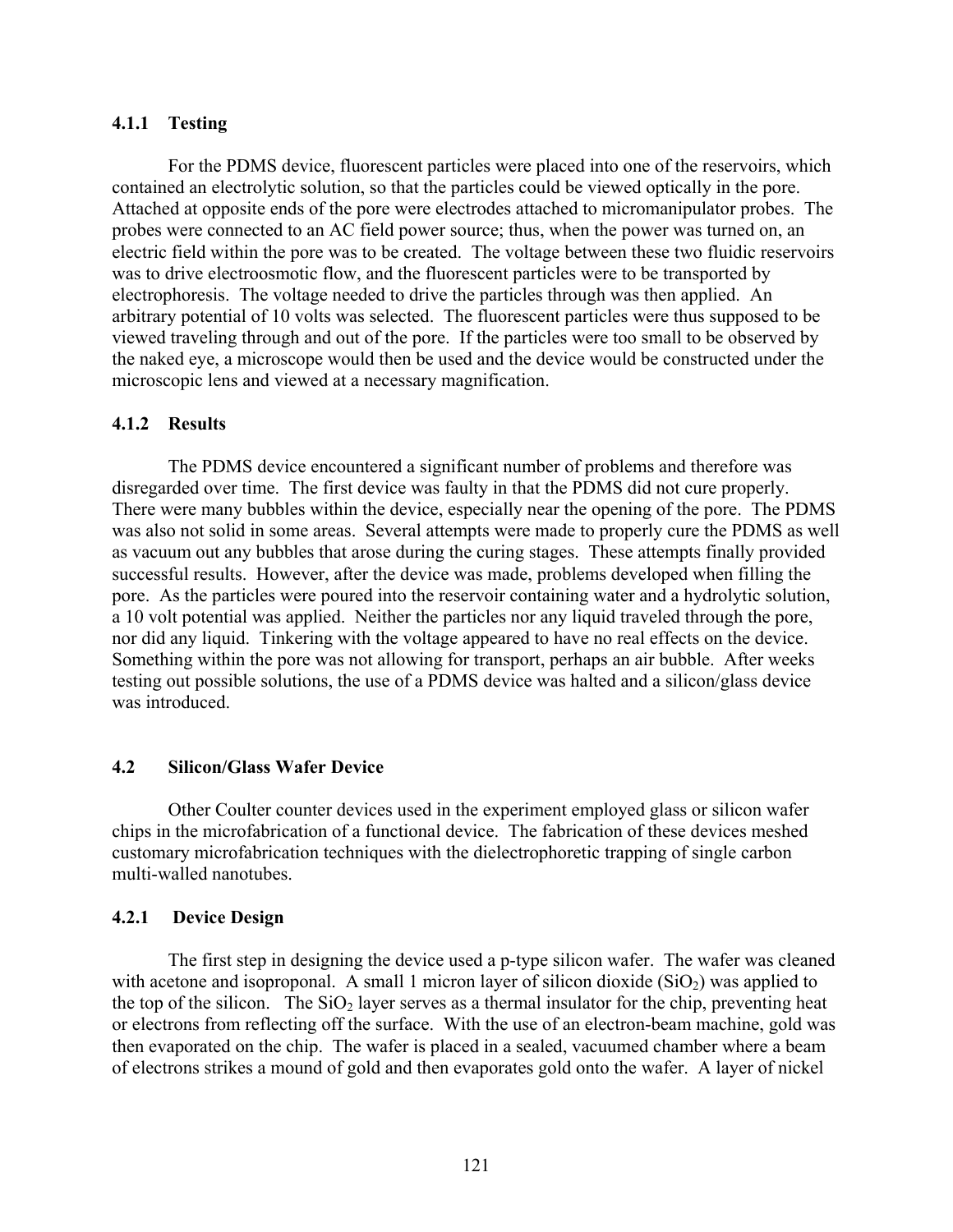## **4.1.1 Testing**

For the PDMS device, fluorescent particles were placed into one of the reservoirs, which contained an electrolytic solution, so that the particles could be viewed optically in the pore. Attached at opposite ends of the pore were electrodes attached to micromanipulator probes. The probes were connected to an AC field power source; thus, when the power was turned on, an electric field within the pore was to be created. The voltage between these two fluidic reservoirs was to drive electroosmotic flow, and the fluorescent particles were to be transported by electrophoresis. The voltage needed to drive the particles through was then applied. An arbitrary potential of 10 volts was selected. The fluorescent particles were thus supposed to be viewed traveling through and out of the pore. If the particles were too small to be observed by the naked eye, a microscope would then be used and the device would be constructed under the microscopic lens and viewed at a necessary magnification.

## **4.1.2 Results**

The PDMS device encountered a significant number of problems and therefore was disregarded over time. The first device was faulty in that the PDMS did not cure properly. There were many bubbles within the device, especially near the opening of the pore. The PDMS was also not solid in some areas. Several attempts were made to properly cure the PDMS as well as vacuum out any bubbles that arose during the curing stages. These attempts finally provided successful results. However, after the device was made, problems developed when filling the pore. As the particles were poured into the reservoir containing water and a hydrolytic solution, a 10 volt potential was applied. Neither the particles nor any liquid traveled through the pore, nor did any liquid. Tinkering with the voltage appeared to have no real effects on the device. Something within the pore was not allowing for transport, perhaps an air bubble. After weeks testing out possible solutions, the use of a PDMS device was halted and a silicon/glass device was introduced.

## **4.2 Silicon/Glass Wafer Device**

Other Coulter counter devices used in the experiment employed glass or silicon wafer chips in the microfabrication of a functional device. The fabrication of these devices meshed customary microfabrication techniques with the dielectrophoretic trapping of single carbon multi-walled nanotubes.

## **4.2.1 Device Design**

The first step in designing the device used a p-type silicon wafer. The wafer was cleaned with acetone and isoproponal. A small 1 micron layer of silicon dioxide  $(SiO<sub>2</sub>)$  was applied to the top of the silicon. The  $SiO<sub>2</sub>$  layer serves as a thermal insulator for the chip, preventing heat or electrons from reflecting off the surface. With the use of an electron-beam machine, gold was then evaporated on the chip. The wafer is placed in a sealed, vacuumed chamber where a beam of electrons strikes a mound of gold and then evaporates gold onto the wafer. A layer of nickel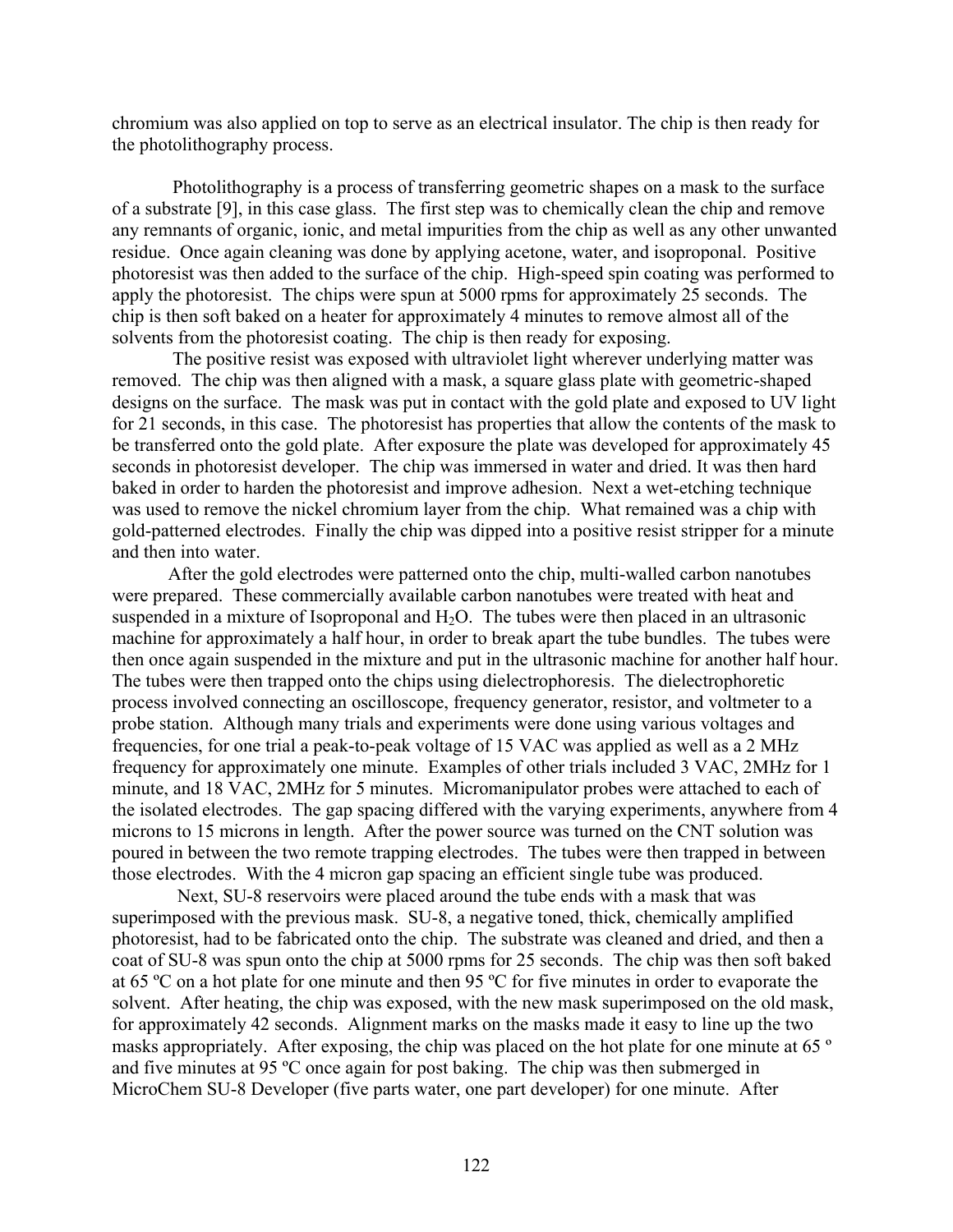chromium was also applied on top to serve as an electrical insulator. The chip is then ready for the photolithography process.

 Photolithography is a process of transferring geometric shapes on a mask to the surface of a substrate [9], in this case glass. The first step was to chemically clean the chip and remove any remnants of organic, ionic, and metal impurities from the chip as well as any other unwanted residue. Once again cleaning was done by applying acetone, water, and isoproponal. Positive photoresist was then added to the surface of the chip. High-speed spin coating was performed to apply the photoresist. The chips were spun at 5000 rpms for approximately 25 seconds. The chip is then soft baked on a heater for approximately 4 minutes to remove almost all of the solvents from the photoresist coating. The chip is then ready for exposing.

 The positive resist was exposed with ultraviolet light wherever underlying matter was removed. The chip was then aligned with a mask, a square glass plate with geometric-shaped designs on the surface. The mask was put in contact with the gold plate and exposed to UV light for 21 seconds, in this case. The photoresist has properties that allow the contents of the mask to be transferred onto the gold plate. After exposure the plate was developed for approximately 45 seconds in photoresist developer. The chip was immersed in water and dried. It was then hard baked in order to harden the photoresist and improve adhesion. Next a wet-etching technique was used to remove the nickel chromium layer from the chip. What remained was a chip with gold-patterned electrodes. Finally the chip was dipped into a positive resist stripper for a minute and then into water.

After the gold electrodes were patterned onto the chip, multi-walled carbon nanotubes were prepared. These commercially available carbon nanotubes were treated with heat and suspended in a mixture of Isoproponal and  $H_2O$ . The tubes were then placed in an ultrasonic machine for approximately a half hour, in order to break apart the tube bundles. The tubes were then once again suspended in the mixture and put in the ultrasonic machine for another half hour. The tubes were then trapped onto the chips using dielectrophoresis. The dielectrophoretic process involved connecting an oscilloscope, frequency generator, resistor, and voltmeter to a probe station. Although many trials and experiments were done using various voltages and frequencies, for one trial a peak-to-peak voltage of 15 VAC was applied as well as a 2 MHz frequency for approximately one minute. Examples of other trials included 3 VAC, 2MHz for 1 minute, and 18 VAC, 2MHz for 5 minutes. Micromanipulator probes were attached to each of the isolated electrodes. The gap spacing differed with the varying experiments, anywhere from 4 microns to 15 microns in length. After the power source was turned on the CNT solution was poured in between the two remote trapping electrodes. The tubes were then trapped in between those electrodes. With the 4 micron gap spacing an efficient single tube was produced.

 Next, SU-8 reservoirs were placed around the tube ends with a mask that was superimposed with the previous mask. SU-8, a negative toned, thick, chemically amplified photoresist, had to be fabricated onto the chip. The substrate was cleaned and dried, and then a coat of SU-8 was spun onto the chip at 5000 rpms for 25 seconds. The chip was then soft baked at 65 ºC on a hot plate for one minute and then 95 ºC for five minutes in order to evaporate the solvent. After heating, the chip was exposed, with the new mask superimposed on the old mask, for approximately 42 seconds. Alignment marks on the masks made it easy to line up the two masks appropriately. After exposing, the chip was placed on the hot plate for one minute at 65<sup>°</sup> and five minutes at 95 ºC once again for post baking. The chip was then submerged in MicroChem SU-8 Developer (five parts water, one part developer) for one minute. After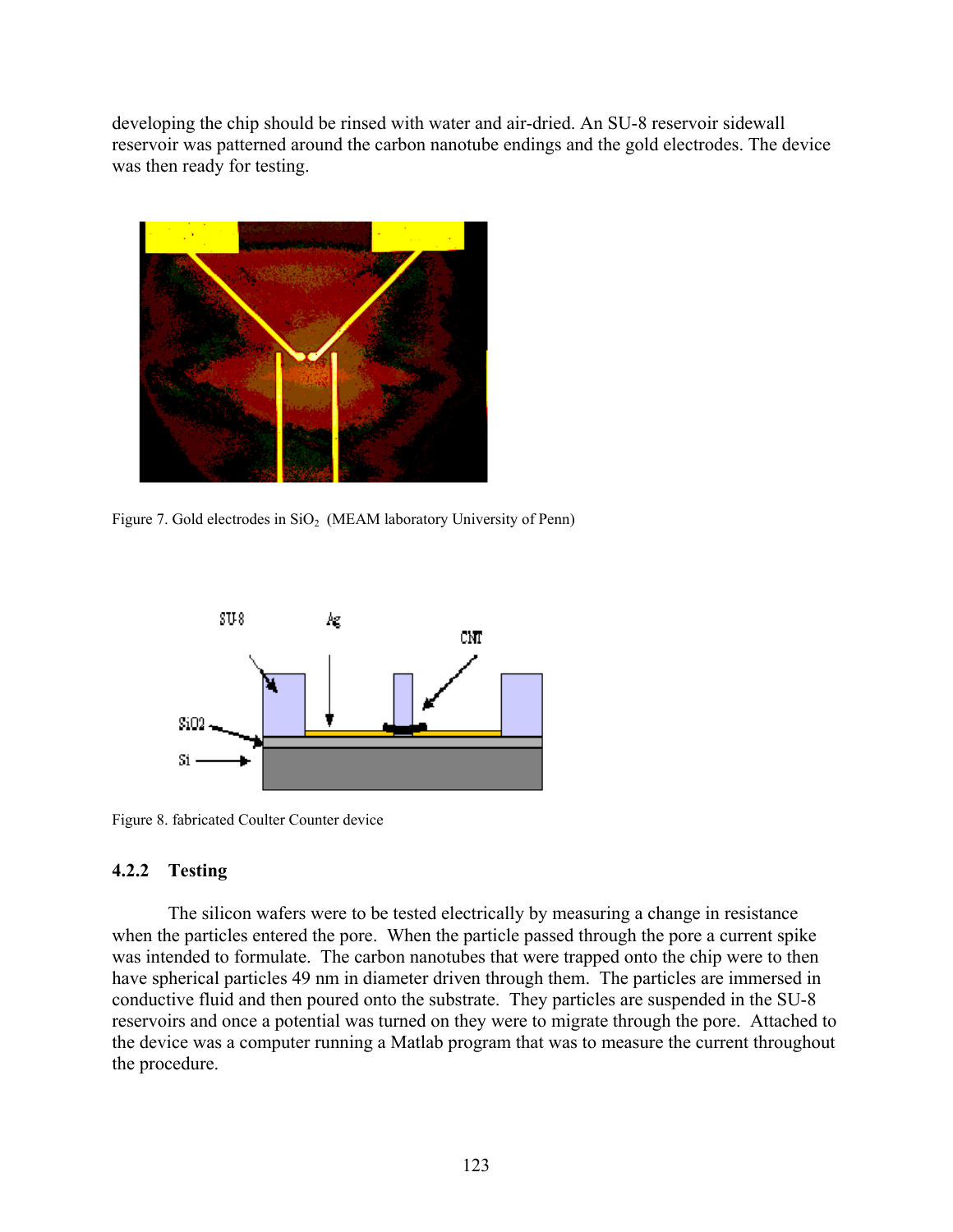developing the chip should be rinsed with water and air-dried. An SU-8 reservoir sidewall reservoir was patterned around the carbon nanotube endings and the gold electrodes. The device was then ready for testing.



Figure 7. Gold electrodes in  $SiO<sub>2</sub>$  (MEAM laboratory University of Penn)



Figure 8. fabricated Coulter Counter device

## **4.2.2 Testing**

The silicon wafers were to be tested electrically by measuring a change in resistance when the particles entered the pore. When the particle passed through the pore a current spike was intended to formulate. The carbon nanotubes that were trapped onto the chip were to then have spherical particles 49 nm in diameter driven through them. The particles are immersed in conductive fluid and then poured onto the substrate. They particles are suspended in the SU-8 reservoirs and once a potential was turned on they were to migrate through the pore. Attached to the device was a computer running a Matlab program that was to measure the current throughout the procedure.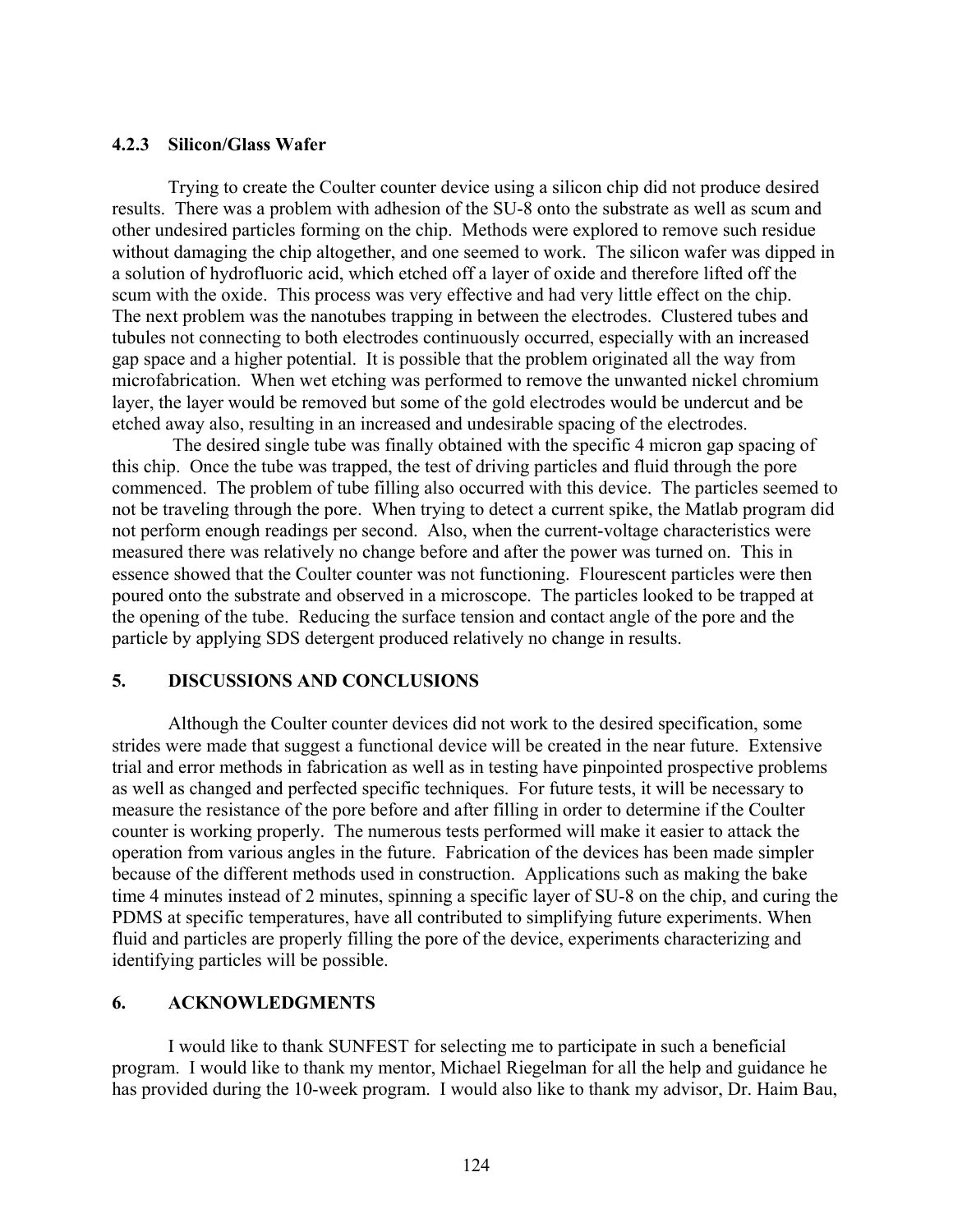### **4.2.3 Silicon/Glass Wafer**

Trying to create the Coulter counter device using a silicon chip did not produce desired results. There was a problem with adhesion of the SU-8 onto the substrate as well as scum and other undesired particles forming on the chip. Methods were explored to remove such residue without damaging the chip altogether, and one seemed to work. The silicon wafer was dipped in a solution of hydrofluoric acid, which etched off a layer of oxide and therefore lifted off the scum with the oxide. This process was very effective and had very little effect on the chip. The next problem was the nanotubes trapping in between the electrodes. Clustered tubes and tubules not connecting to both electrodes continuously occurred, especially with an increased gap space and a higher potential. It is possible that the problem originated all the way from microfabrication. When wet etching was performed to remove the unwanted nickel chromium layer, the layer would be removed but some of the gold electrodes would be undercut and be etched away also, resulting in an increased and undesirable spacing of the electrodes.

 The desired single tube was finally obtained with the specific 4 micron gap spacing of this chip. Once the tube was trapped, the test of driving particles and fluid through the pore commenced. The problem of tube filling also occurred with this device. The particles seemed to not be traveling through the pore. When trying to detect a current spike, the Matlab program did not perform enough readings per second. Also, when the current-voltage characteristics were measured there was relatively no change before and after the power was turned on. This in essence showed that the Coulter counter was not functioning. Flourescent particles were then poured onto the substrate and observed in a microscope. The particles looked to be trapped at the opening of the tube. Reducing the surface tension and contact angle of the pore and the particle by applying SDS detergent produced relatively no change in results.

## **5. DISCUSSIONS AND CONCLUSIONS**

Although the Coulter counter devices did not work to the desired specification, some strides were made that suggest a functional device will be created in the near future. Extensive trial and error methods in fabrication as well as in testing have pinpointed prospective problems as well as changed and perfected specific techniques. For future tests, it will be necessary to measure the resistance of the pore before and after filling in order to determine if the Coulter counter is working properly. The numerous tests performed will make it easier to attack the operation from various angles in the future. Fabrication of the devices has been made simpler because of the different methods used in construction. Applications such as making the bake time 4 minutes instead of 2 minutes, spinning a specific layer of SU-8 on the chip, and curing the PDMS at specific temperatures, have all contributed to simplifying future experiments. When fluid and particles are properly filling the pore of the device, experiments characterizing and identifying particles will be possible.

## **6. ACKNOWLEDGMENTS**

I would like to thank SUNFEST for selecting me to participate in such a beneficial program. I would like to thank my mentor, Michael Riegelman for all the help and guidance he has provided during the 10-week program. I would also like to thank my advisor, Dr. Haim Bau,